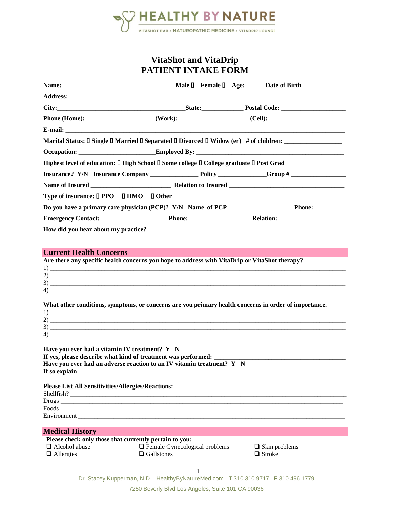

# **VitaShot and VitaDrip PATIENT INTAKE FORM**

| Marital Status: I Single I Married I Separated I Divorced I Widow (er) # of children: ______________                                                                                                                                                                                                                                                                                                                                                                                                                                     |                                                             |                                       |
|------------------------------------------------------------------------------------------------------------------------------------------------------------------------------------------------------------------------------------------------------------------------------------------------------------------------------------------------------------------------------------------------------------------------------------------------------------------------------------------------------------------------------------------|-------------------------------------------------------------|---------------------------------------|
|                                                                                                                                                                                                                                                                                                                                                                                                                                                                                                                                          |                                                             |                                       |
| Highest level of education: [] High School [] Some college [] College graduate [] Post Grad                                                                                                                                                                                                                                                                                                                                                                                                                                              |                                                             |                                       |
|                                                                                                                                                                                                                                                                                                                                                                                                                                                                                                                                          |                                                             |                                       |
|                                                                                                                                                                                                                                                                                                                                                                                                                                                                                                                                          |                                                             |                                       |
| Type of insurance: □ PPO □ HMO □ Other _______________                                                                                                                                                                                                                                                                                                                                                                                                                                                                                   |                                                             |                                       |
|                                                                                                                                                                                                                                                                                                                                                                                                                                                                                                                                          |                                                             |                                       |
| Emergency Contact: Phone: Phone: Relation: Relation:                                                                                                                                                                                                                                                                                                                                                                                                                                                                                     |                                                             |                                       |
|                                                                                                                                                                                                                                                                                                                                                                                                                                                                                                                                          |                                                             |                                       |
|                                                                                                                                                                                                                                                                                                                                                                                                                                                                                                                                          |                                                             |                                       |
| Are there any specific health concerns you hope to address with VitaDrip or VitaShot therapy?<br>$\frac{1}{2}$<br>$\overline{4}$ )<br>What other conditions, symptoms, or concerns are you primary health concerns in order of importance.<br>$\frac{1}{2}$<br>Have you ever had a vitamin IV treatment? Y N<br>If yes, please describe what kind of treatment was performed:<br>Have you ever had an adverse reaction to an IV vitamin treatment? $Y \ N$<br>If so explain<br><b>Please List All Sensitivities/Allergies/Reactions:</b> |                                                             |                                       |
| Shellfish?                                                                                                                                                                                                                                                                                                                                                                                                                                                                                                                               |                                                             |                                       |
|                                                                                                                                                                                                                                                                                                                                                                                                                                                                                                                                          |                                                             |                                       |
|                                                                                                                                                                                                                                                                                                                                                                                                                                                                                                                                          |                                                             |                                       |
| <b>Medical History</b>                                                                                                                                                                                                                                                                                                                                                                                                                                                                                                                   |                                                             |                                       |
| Please check only those that currently pertain to you:<br>Alcohol abuse<br>$\Box$ Allergies                                                                                                                                                                                                                                                                                                                                                                                                                                              | <b>T</b> Female Gynecological problems<br>$\Box$ Gallstones | $\Box$ Skin problems<br>$\Box$ Stroke |
|                                                                                                                                                                                                                                                                                                                                                                                                                                                                                                                                          | 1                                                           |                                       |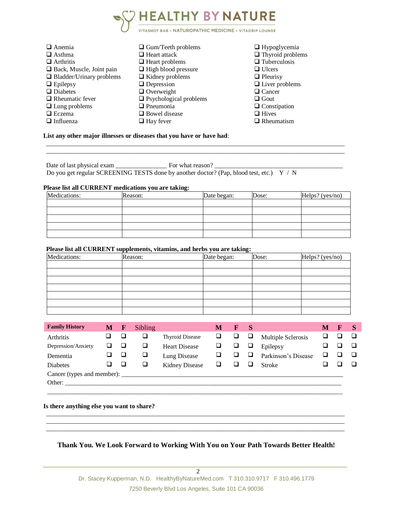

| $\Box$ Anemia                   | $\Box$ Gum/Teeth problems     | $\Box$ Hypoglycemia     |
|---------------------------------|-------------------------------|-------------------------|
| $\Box$ Asthma                   | $\Box$ Heart attack           | $\Box$ Thyroid problems |
| $\Box$ Arthritis                | $\Box$ Heart problems         | $\Box$ Tuberculosis     |
| $\Box$ Back, Muscle, Joint pain | $\Box$ High blood pressure    | $\Box$ Ulcers           |
| $\Box$ Bladder/Urinary problems | $\Box$ Kidney problems        | $\Box$ Pleurisy         |
| $\Box$ Epilepsy                 | $\Box$ Depression             | $\Box$ Liver problems   |
| $\Box$ Diabetes                 | $\Box$ Overweight             | $\Box$ Cancer           |
| $\Box$ Rheumatic fever          | $\Box$ Psychological problems | $\Box$ Gout             |
| $\Box$ Lung problems            | $\Box$ Pneumonia              | $\Box$ Constipation     |
| $\Box$ Eczema                   | $\Box$ Bowel disease          | $\Box$ Hives            |
| $\Box$ Influenza                | $\Box$ Hay fever              | $\Box$ Rheumatism       |

**List any other major illnesses or diseases that you have or have had**:

Date of last physical exam \_\_\_\_\_\_\_\_\_\_\_\_\_\_\_\_ For what reason? \_\_\_\_\_\_\_\_\_\_\_\_\_\_\_\_\_\_\_\_\_\_\_\_\_\_\_\_\_\_\_\_\_\_\_\_\_\_\_\_ Do you get regular SCREENING TESTS done by another doctor? (Pap, blood test, etc.) Y / N

### **Please list all CURRENT medications you are taking:**

| Medications: | Reason: | Date began: | Dose: | Helps? $(yes/no)$ |  |  |
|--------------|---------|-------------|-------|-------------------|--|--|
|              |         |             |       |                   |  |  |
|              |         |             |       |                   |  |  |
|              |         |             |       |                   |  |  |
|              |         |             |       |                   |  |  |
|              |         |             |       |                   |  |  |

\_\_\_\_\_\_\_\_\_\_\_\_\_\_\_\_\_\_\_\_\_\_\_\_\_\_\_\_\_\_\_\_\_\_\_\_\_\_\_\_\_\_\_\_\_\_\_\_\_\_\_\_\_\_\_\_\_\_\_\_\_\_\_\_\_\_\_\_\_\_\_\_\_\_\_\_\_\_\_\_\_\_\_\_\_\_\_\_\_\_\_\_\_  $\_$  ,  $\_$  ,  $\_$  ,  $\_$  ,  $\_$  ,  $\_$  ,  $\_$  ,  $\_$  ,  $\_$  ,  $\_$  ,  $\_$  ,  $\_$  ,  $\_$  ,  $\_$  ,  $\_$  ,  $\_$  ,  $\_$  ,  $\_$  ,  $\_$  ,  $\_$  ,  $\_$  ,  $\_$  ,  $\_$  ,  $\_$  ,  $\_$  ,  $\_$  ,  $\_$  ,  $\_$  ,  $\_$  ,  $\_$  ,  $\_$  ,  $\_$  ,  $\_$  ,  $\_$  ,  $\_$  ,  $\_$  ,  $\_$  ,

### **Please list all CURRENT supplements, vitamins, and herbs you are taking:**

| Medications: | Reason: | Date began: | Dose: | Helps? (yes/no) |
|--------------|---------|-------------|-------|-----------------|
|              |         |             |       |                 |
|              |         |             |       |                 |
|              |         |             |       |                 |
|              |         |             |       |                 |
|              |         |             |       |                 |
|              |         |             |       |                 |
|              |         |             |       |                 |

| <b>Family History</b> | М | $\mathbf F$ | Sibling |                        | M | <b>S</b> |                     | M | F | <b>S</b> |
|-----------------------|---|-------------|---------|------------------------|---|----------|---------------------|---|---|----------|
| Arthritis             |   | $\Box$      |         | <b>Thyroid Disease</b> | ⊔ | ⊔        | Multiple Sclerosis  |   |   |          |
| Depression/Anxiety    |   | $\Box$      |         | <b>Heart Disease</b>   | ⊔ | ⊔        | Epilepsy            |   |   |          |
| Dementia              |   | $\Box$      |         | Lung Disease           |   | ⊔        | Parkinson's Disease |   |   |          |
| <b>Diabetes</b>       |   | $\Box$      |         | <b>Kidney Disease</b>  |   | ⊔        | <b>Stroke</b>       |   |   |          |
|                       |   |             |         |                        |   |          |                     |   |   |          |
| Other:                |   |             |         |                        |   |          |                     |   |   |          |
|                       |   |             |         |                        |   |          |                     |   |   |          |

**Is there anything else you want to share?** 

## **Thank You. We Look Forward to Working With You on Your Path Towards Better Health!**

\_\_\_\_\_\_\_\_\_\_\_\_\_\_\_\_\_\_\_\_\_\_\_\_\_\_\_\_\_\_\_\_\_\_\_\_\_\_\_\_\_\_\_\_\_\_\_\_\_\_\_\_\_\_\_\_\_\_\_\_\_\_\_\_\_\_\_\_\_\_\_\_\_\_\_\_\_\_\_\_\_\_\_\_\_\_\_\_\_\_\_\_\_  $\_$  ,  $\_$  ,  $\_$  ,  $\_$  ,  $\_$  ,  $\_$  ,  $\_$  ,  $\_$  ,  $\_$  ,  $\_$  ,  $\_$  ,  $\_$  ,  $\_$  ,  $\_$  ,  $\_$  ,  $\_$  ,  $\_$  ,  $\_$  ,  $\_$  ,  $\_$  ,  $\_$  ,  $\_$  ,  $\_$  ,  $\_$  ,  $\_$  ,  $\_$  ,  $\_$  ,  $\_$  ,  $\_$  ,  $\_$  ,  $\_$  ,  $\_$  ,  $\_$  ,  $\_$  ,  $\_$  ,  $\_$  ,  $\_$  ,  $\_$  ,  $\_$  ,  $\_$  ,  $\_$  ,  $\_$  ,  $\_$  ,  $\_$  ,  $\_$  ,  $\_$  ,  $\_$  ,  $\_$  ,  $\_$  ,  $\_$  ,  $\_$  ,  $\_$  ,  $\_$  ,  $\_$  ,  $\_$  ,  $\_$  ,  $\_$  ,  $\_$  ,  $\_$  ,  $\_$  ,  $\_$  ,  $\_$  ,  $\_$  ,  $\_$  ,  $\_$  ,  $\_$  ,  $\_$  ,  $\_$  ,  $\_$  ,  $\_$  ,  $\_$  ,  $\_$  ,  $\_$  ,  $\_$  ,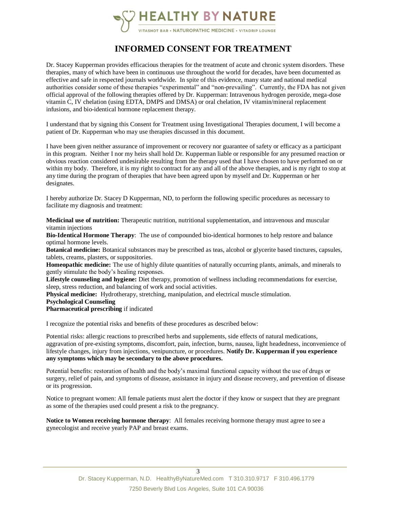

# **INFORMED CONSENT FOR TREATMENT**

Dr. Stacey Kupperman provides efficacious therapies for the treatment of acute and chronic system disorders. These therapies, many of which have been in continuous use throughout the world for decades, have been documented as effective and safe in respected journals worldwide. In spite of this evidence, many state and national medical authorities consider some of these therapies "experimental" and "non-prevailing". Currently, the FDA has not given official approval of the following therapies offered by Dr. Kupperman: Intravenous hydrogen peroxide, mega-dose vitamin C, IV chelation (using EDTA, DMPS and DMSA) or oral chelation, IV vitamin/mineral replacement infusions, and bio-identical hormone replacement therapy.

I understand that by signing this Consent for Treatment using Investigational Therapies document, I will become a patient of Dr. Kupperman who may use therapies discussed in this document.

I have been given neither assurance of improvement or recovery nor guarantee of safety or efficacy as a participant in this program. Neither I nor my heirs shall hold Dr. Kupperman liable or responsible for any presumed reaction or obvious reaction considered undesirable resulting from the therapy used that I have chosen to have performed on or within my body. Therefore, it is my right to contract for any and all of the above therapies, and is my right to stop at any time during the program of therapies that have been agreed upon by myself and Dr. Kupperman or her designates.

I hereby authorize Dr. Stacey D Kupperman, ND, to perform the following specific procedures as necessary to facilitate my diagnosis and treatment:

**Medicinal use of nutrition:** Therapeutic nutrition, nutritional supplementation, and intravenous and muscular vitamin injections

**Bio-Identical Hormone Therapy**: The use of compounded bio-identical hormones to help restore and balance optimal hormone levels.

**Botanical medicine:** Botanical substances may be prescribed as teas, alcohol or glycerite based tinctures, capsules, tablets, creams, plasters, or suppositories.

**Homeopathic medicine:** The use of highly dilute quantities of naturally occurring plants, animals, and minerals to gently stimulate the body's healing responses.

**Lifestyle counseling and hygiene:** Diet therapy, promotion of wellness including recommendations for exercise, sleep, stress reduction, and balancing of work and social activities.

**Physical medicine:** Hydrotherapy, stretching, manipulation, and electrical muscle stimulation.

**Psychological Counseling**

**Pharmaceutical prescribing** if indicated

I recognize the potential risks and benefits of these procedures as described below:

Potential risks: allergic reactions to prescribed herbs and supplements, side effects of natural medications, aggravation of pre-existing symptoms, discomfort, pain, infection, burns, nausea, light headedness, inconvenience of lifestyle changes, injury from injections, venipuncture, or procedures. **Notify Dr. Kupperman if you experience any symptoms which may be secondary to the above procedures.**

Potential benefits: restoration of health and the body's maximal functional capacity without the use of drugs or surgery, relief of pain, and symptoms of disease, assistance in injury and disease recovery, and prevention of disease or its progression.

Notice to pregnant women: All female patients must alert the doctor if they know or suspect that they are pregnant as some of the therapies used could present a risk to the pregnancy.

**Notice to Women receiving hormone therapy**: All females receiving hormone therapy must agree to see a gynecologist and receive yearly PAP and breast exams.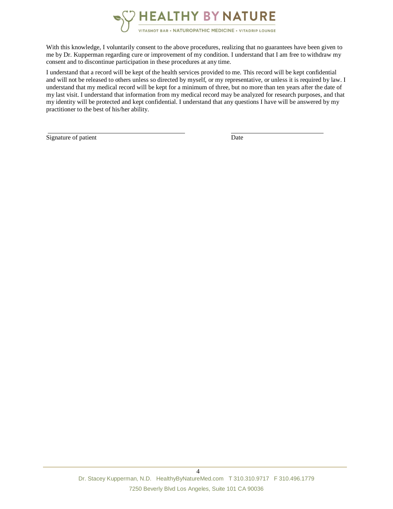

With this knowledge, I voluntarily consent to the above procedures, realizing that no guarantees have been given to me by Dr. Kupperman regarding cure or improvement of my condition. I understand that I am free to withdraw my consent and to discontinue participation in these procedures at any time.

I understand that a record will be kept of the health services provided to me. This record will be kept confidential and will not be released to others unless so directed by myself, or my representative, or unless it is required by law. I understand that my medical record will be kept for a minimum of three, but no more than ten years after the date of my last visit. I understand that information from my medical record may be analyzed for research purposes, and that my identity will be protected and kept confidential. I understand that any questions I have will be answered by my practitioner to the best of his/her ability.

Signature of patient Date